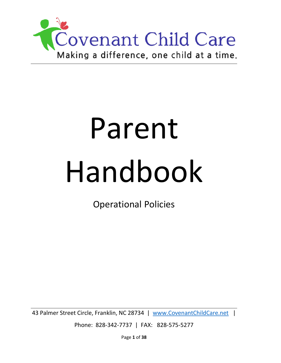

# Parent Handbook

Operational Policies

43 Palmer Street Circle, Franklin, NC 28734 | [www.CovenantChildCare.net](http://www.covenantchildcare.net/) |

Phone: 828-342-7737 | FAX: 828-575-5277

Page **1** of **38**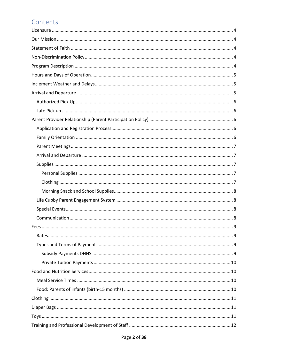# Contents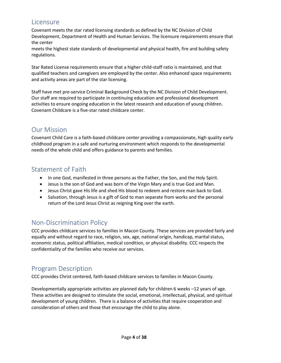# <span id="page-3-0"></span>Licensure

Covenant meets the star rated licensing standards as defined by the NC Division of Child Development, Department of Health and Human Services. The licensure requirements ensure that the center

meets the highest state standards of developmental and physical health, fire and building safety regulations.

Star Rated License requirements ensure that a higher child-staff ratio is maintained, and that qualified teachers and caregivers are employed by the center. Also enhanced space requirements and activity areas are part of the star licensing.

Staff have met pre-service Criminal Background Check by the NC Division of Child Development. Our staff are required to participate in continuing education and professional development activities to ensure ongoing education in the latest research and education of young children. Covenant Childcare is a five-star rated childcare center.

# <span id="page-3-1"></span>Our Mission

Covenant Child Care is a faith-based childcare center providing a compassionate, high quality early childhood program in a safe and nurturing environment which responds to the developmental needs of the whole child and offers guidance to parents and families.

# <span id="page-3-2"></span>Statement of Faith

- In one God, manifested in three persons as the Father, the Son, and the Holy Spirit.
- Jesus is the son of God and was born of the Virgin Mary and is true God and Man.
- Jesus Christ gave His life and shed His blood to redeem and restore man back to God.
- Salvation, through Jesus is a gift of God to man separate from works and the personal return of the Lord Jesus Christ as reigning King over the earth.

# <span id="page-3-3"></span>Non-Discrimination Policy

CCC provides childcare services to families in Macon County. These services are provided fairly and equally and without regard to race, religion, sex, age, national origin, handicap, marital status, economic status, political affiliation, medical condition, or physical disability. CCC respects the confidentiality of the families who receive our services.

# <span id="page-3-4"></span>Program Description

CCC provides Christ centered, faith-based childcare services to families in Macon County.

Developmentally appropriate activities are planned daily for children 6 weeks –12 years of age. These activities are designed to stimulate the social, emotional, intellectual, physical, and spiritual development of young children. There is a balance of activities that require cooperation and consideration of others and those that encourage the child to play alone.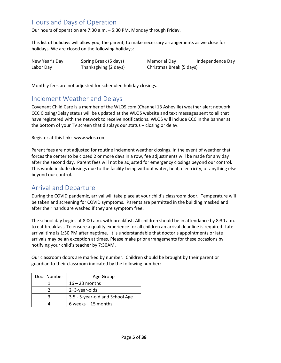# <span id="page-4-0"></span>Hours and Days of Operation

Our hours of operation are 7:30 a.m. – 5:30 PM, Monday through Friday.

This list of holidays will allow you, the parent, to make necessary arrangements as we close for holidays. We are closed on the following holidays:

| New Year's Day | Spring Break (5 days) | Memorial Day             | Independence Day |
|----------------|-----------------------|--------------------------|------------------|
| Labor Day      | Thanksgiving (2 days) | Christmas Break (5 days) |                  |

<span id="page-4-1"></span>Monthly fees are not adjusted for scheduled holiday closings.

# Inclement Weather and Delays

Covenant Child Care is a member of the WLOS.com (Channel 13 Asheville) weather alert network. CCC Closing/Delay status will be updated at the WLOS website and text messages sent to all that have registered with the network to receive notifications. WLOS will include CCC in the banner at the bottom of your TV screen that displays our status – closing or delay.

Register at this link: www.wlos.com

Parent fees are not adjusted for routine inclement weather closings. In the event of weather that forces the center to be closed 2 or more days in a row, fee adjustments will be made for any day after the second day. Parent fees will not be adjusted for emergency closings beyond our control. This would include closings due to the facility being without water, heat, electricity, or anything else beyond our control.

# <span id="page-4-2"></span>Arrival and Departure

During the COVID pandemic, arrival will take place at your child's classroom door. Temperature will be taken and screening for COVID symptoms. Parents are permitted in the building masked and after their hands are washed if they are symptom free.

The school day begins at 8:00 a.m. with breakfast. All children should be in attendance by 8:30 a.m. to eat breakfast. To ensure a quality experience for all children an arrival deadline is required. Late arrival time is 1:30 PM after naptime. It is understandable that doctor's appointments or late arrivals may be an exception at times. Please make prior arrangements for these occasions by notifying your child's teacher by 7:30AM.

Our classroom doors are marked by number. Children should be brought by their parent or guardian to their classroom indicated by the following number:

| Door Number | Age Group                       |  |
|-------------|---------------------------------|--|
|             | $16 - 23$ months                |  |
|             | $2-3$ -year-olds                |  |
|             | 3.5 - 5-year-old and School Age |  |
|             | $6$ weeks $-15$ months          |  |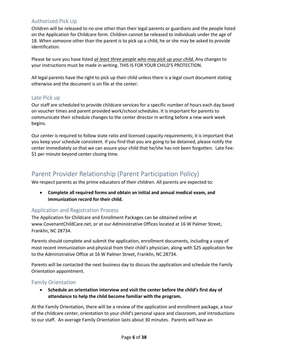#### <span id="page-5-0"></span>Authorized Pick Up

Children will be released to no one other than their legal parents or guardians and the people listed on the Application for Childcare form. Children cannot be released to individuals under the age of 18. When someone other than the parent is to pick up a child, he or she may be asked to provide identification.

Please be sure you have listed *at least three people who may pick up your child.* Any changes to your instructions must be made in writing. THIS IS FOR YOUR CHILD'S PROTECTION.

All legal parents have the right to pick up their child unless there is a legal court document stating otherwise and the document is on file at the center.

#### <span id="page-5-1"></span>Late Pick up

Our staff are scheduled to provide childcare services for a specific number of hours each day based on voucher times and parent provided work/school schedules. It is important for parents to communicate their schedule changes to the center director in writing before a new work week begins.

Our center is required to follow state ratio and licensed capacity requirements; it is important that you keep your schedule consistent. If you find that you are going to be detained, please notify the center immediately so that we can assure your child that he/she has not been forgotten. Late Fee: \$1 per minute beyond center closing time.

# <span id="page-5-2"></span>Parent Provider Relationship (Parent Participation Policy)

We respect parents as the prime educators of their children. All parents are expected to:

• **Complete all required forms and obtain an initial and annual medical exam, and immunization record for their child.** 

#### <span id="page-5-3"></span>Application and Registration Process

The Application for Childcare and Enrollment Packages can be obtained online at www.CovenantChildCare.net, or at our Administrative Offices located at 16 W Palmer Street, Franklin, NC 28734.

Parents should complete and submit the application, enrollment documents, including a copy of most recent immunization and physical from their child's physician, along with \$25 application fee to the Administrative Office at 16 W Palmer Street, Franklin, NC 28734.

Parents will be contacted the next business day to discuss the application and schedule the Family Orientation appointment.

#### <span id="page-5-4"></span>Family Orientation

• **Schedule an orientation interview and visit the center before the child's first day of attendance to help the child become familiar with the program.**

At the Family Orientation, there will be a review of the application and enrollment package, a tour of the childcare center, orientation to your child's personal space and classroom, and introductions to our staff. An average Family Orientation lasts about 30 minutes. Parents will have an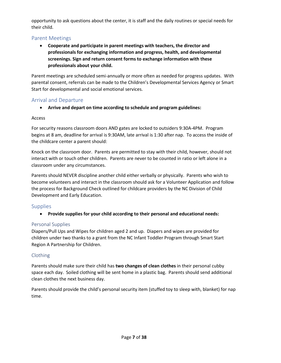opportunity to ask questions about the center, it is staff and the daily routines or special needs for their child.

#### <span id="page-6-0"></span>Parent Meetings

• **Cooperate and participate in parent meetings with teachers, the director and professionals for exchanging information and progress, health, and developmental screenings. Sign and return consent forms to exchange information with these professionals about your child.**

Parent meetings are scheduled semi-annually or more often as needed for progress updates. With parental consent, referrals can be made to the Children's Developmental Services Agency or Smart Start for developmental and social emotional services.

#### <span id="page-6-1"></span>Arrival and Departure

• **Arrive and depart on time according to schedule and program guidelines:**

#### Access

For security reasons classroom doors AND gates are locked to outsiders 9:30A-4PM. Program begins at 8 am, deadline for arrival is 9:30AM, late arrival is 1:30 after nap. To access the inside of the childcare center a parent should:

Knock on the classroom door. Parents are permitted to stay with their child, however, should not interact with or touch other children. Parents are never to be counted in ratio or left alone in a classroom under any circumstances.

Parents should NEVER discipline another child either verbally or physically. Parents who wish to become volunteers and interact in the classroom should ask for a Volunteer Application and follow the process for Background Check outlined for childcare providers by the NC Division of Child Development and Early Education.

#### <span id="page-6-2"></span>**Supplies**

• **Provide supplies for your child according to their personal and educational needs:**

#### <span id="page-6-3"></span>Personal Supplies

Diapers/Pull Ups and Wipes for children aged 2 and up. Diapers and wipes are provided for children under two thanks to a grant from the NC Infant Toddler Program through Smart Start Region A Partnership for Children.

#### <span id="page-6-4"></span>Clothing

Parents should make sure their child has **two changes of clean clothes** in their personal cubby space each day. Soiled clothing will be sent home in a plastic bag. Parents should send additional clean clothes the next business day.

Parents should provide the child's personal security item (stuffed toy to sleep with, blanket) for nap time.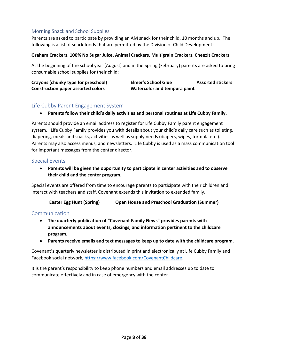#### <span id="page-7-0"></span>Morning Snack and School Supplies

Parents are asked to participate by providing an AM snack for their child, 10 months and up. The following is a list of snack foods that are permitted by the Division of Child Development:

#### **Graham Crackers, 100% No Sugar Juice, Animal Crackers, Multigrain Crackers, CheezIt Crackers**

At the beginning of the school year (August) and in the Spring (February) parents are asked to bring consumable school supplies for their child:

| Crayons (chunky type for preschool)       | Elmer's School Glue          | <b>Assorted stickers</b> |
|-------------------------------------------|------------------------------|--------------------------|
| <b>Construction paper assorted colors</b> | Watercolor and tempura paint |                          |

#### <span id="page-7-1"></span>Life Cubby Parent Engagement System

• **Parents follow their child's daily activities and personal routines at Life Cubby Family.**

Parents should provide an email address to register for Life Cubby Family parent engagement system. Life Cubby Family provides you with details about your child's daily care such as toileting, diapering, meals and snacks, activities as well as supply needs (diapers, wipes, formula etc.). Parents may also access menus, and newsletters. Life Cubby is used as a mass communication tool for important messages from the center director.

#### <span id="page-7-2"></span>Special Events

• **Parents will be given the opportunity to participate in center activities and to observe their child and the center program.** 

Special events are offered from time to encourage parents to participate with their children and interact with teachers and staff. Covenant extends this invitation to extended family.

**Easter Egg Hunt (Spring) Open House and Preschool Graduation (Summer)**

#### <span id="page-7-3"></span>Communication

- **The quarterly publication of "Covenant Family News" provides parents with announcements about events, closings, and information pertinent to the childcare program.**
- **Parents receive emails and text messages to keep up to date with the childcare program.**

Covenant's quarterly newsletter is distributed in print and electronically at Life Cubby Family and Facebook social network, [https://www.facebook.com/CovenantChildcare.](https://www.facebook.com/CovenantChildcare)

It is the parent's responsibility to keep phone numbers and email addresses up to date to communicate effectively and in case of emergency with the center.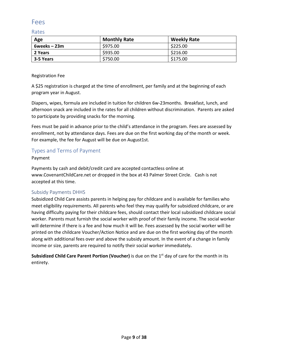# <span id="page-8-0"></span>Fees

<span id="page-8-1"></span>Rates

| Age                | <b>Monthly Rate</b> | <b>Weekly Rate</b> |
|--------------------|---------------------|--------------------|
| $6$ weeks – 23 $m$ | \$975.00            | \$225.00           |
| 2 Years            | \$935.00            | \$216.00           |
| 3-5 Years          | \$750.00            | \$175.00           |

Registration Fee

A \$25 registration is charged at the time of enrollment, per family and at the beginning of each program year in August.

Diapers, wipes, formula are included in tuition for children 6w-23months. Breakfast, lunch, and afternoon snack are included in the rates for all children without discrimination. Parents are asked to participate by providing snacks for the morning.

Fees must be paid in advance prior to the child's attendance in the program. Fees are assessed by enrollment, not by attendance days. Fees are due on the first working day of the month or week. For example, the fee for August will be due on August1st.

## <span id="page-8-2"></span>Types and Terms of Payment

Payment

Payments by cash and debit/credit card are accepted contactless online at www.CovenantChildCare.net or dropped in the box at 43 Palmer Street Circle. Cash is not accepted at this time.

#### <span id="page-8-3"></span>Subsidy Payments DHHS

Subsidized Child Care assists parents in helping pay for childcare and is available for families who meet eligibility requirements. All parents who feel they may qualify for subsidized childcare, or are having difficulty paying for their childcare fees, should contact their local subsidized childcare social worker. Parents must furnish the social worker with proof of their family income. The social worker will determine if there is a fee and how much it will be. Fees assessed by the social worker will be printed on the childcare Voucher/Action Notice and are due on the first working day of the month along with additional fees over and above the subsidy amount. In the event of a change in family income or size, parents are required to notify their social worker immediately**.**

**Subsidized Child Care Parent Portion (Voucher)** is due on the 1st day of care for the month in its entirety.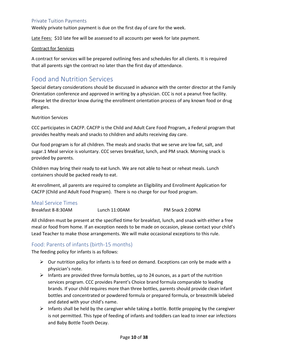#### <span id="page-9-0"></span>Private Tuition Payments

Weekly private tuition payment is due on the first day of care for the week.

Late Fees: \$10 late fee will be assessed to all accounts per week for late payment.

#### Contract for Services

A contract for services will be prepared outlining fees and schedules for all clients. It is required that all parents sign the contract no later than the first day of attendance.

# <span id="page-9-1"></span>Food and Nutrition Services

Special dietary considerations should be discussed in advance with the center director at the Family Orientation conference and approved in writing by a physician. CCC is not a peanut free facility. Please let the director know during the enrollment orientation process of any known food or drug allergies.

Nutrition Services

CCC participates in CACFP. CACFP is the Child and Adult Care Food Program, a Federal program that provides healthy meals and snacks to children and adults receiving day care.

Our food program is for all children. The meals and snacks that we serve are low fat, salt, and sugar.1 Meal service is voluntary. CCC serves breakfast, lunch, and PM snack. Morning snack is provided by parents.

Children may bring their ready to eat lunch. We are not able to heat or reheat meals. Lunch containers should be packed ready to eat.

At enrollment, all parents are required to complete an Eligibility and Enrollment Application for CACFP (Child and Adult Food Program). There is no charge for our food program.

#### <span id="page-9-2"></span>Meal Service Times

Breakfast 8-8:30AM Lunch 11:00AM PM Snack 2:00PM

All children must be present at the specified time for breakfast, lunch, and snack with either a free meal or food from home. If an exception needs to be made on occasion, please contact your child's Lead Teacher to make those arrangements. We will make occasional exceptions to this rule.

#### <span id="page-9-3"></span>Food: Parents of infants (birth-15 months)

The feeding policy for infants is as follows:

- $\triangleright$  Our nutrition policy for infants is to feed on demand. Exceptions can only be made with a physician's note.
- $\triangleright$  Infants are provided three formula bottles, up to 24 ounces, as a part of the nutrition services program. CCC provides Parent's Choice brand formula comparable to leading brands. If your child requires more than three bottles, parents should provide clean infant bottles and concentrated or powdered formula or prepared formula, or breastmilk labeled and dated with your child's name.
- $\triangleright$  Infants shall be held by the caregiver while taking a bottle. Bottle propping by the caregiver is not permitted. This type of feeding of infants and toddlers can lead to inner ear infections and Baby Bottle Tooth Decay.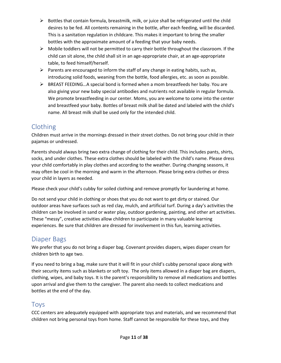- $\triangleright$  Bottles that contain formula, breastmilk, milk, or juice shall be refrigerated until the child desires to be fed. All contents remaining in the bottle, after each feeding, will be discarded. This is a sanitation regulation in childcare. This makes it important to bring the smaller bottles with the approximate amount of a feeding that your baby needs.
- $\triangleright$  Mobile toddlers will not be permitted to carry their bottle throughout the classroom. If the child can sit alone, the child shall sit in an age-appropriate chair, at an age-appropriate table, to feed himself/herself.
- $\triangleright$  Parents are encouraged to inform the staff of any change in eating habits, such as, introducing solid foods, weaning from the bottle, food allergies, etc. as soon as possible.
- $\triangleright$  BREAST FEEDING...A special bond is formed when a mom breastfeeds her baby. You are also giving your new baby special antibodies and nutrients not available in regular formula. We promote breastfeeding in our center. Moms, you are welcome to come into the center and breastfeed your baby. Bottles of breast milk shall be dated and labeled with the child's name. All breast milk shall be used only for the intended child.

# <span id="page-10-0"></span>Clothing

Children must arrive in the mornings dressed in their street clothes. Do not bring your child in their pajamas or undressed.

Parents should always bring two extra change of clothing for their child. This includes pants, shirts, socks, and under clothes. These extra clothes should be labeled with the child's name. Please dress your child comfortably in play clothes and according to the weather. During changing seasons, it may often be cool in the morning and warm in the afternoon. Please bring extra clothes or dress your child in layers as needed.

Please check your child's cubby for soiled clothing and remove promptly for laundering at home.

Do not send your child in clothing or shoes that you do not want to get dirty or stained. Our outdoor areas have surfaces such as red clay, mulch, and artificial turf. During a day's activities the children can be involved in sand or water play, outdoor gardening, painting, and other art activities. These "messy", creative activities allow children to participate in many valuable learning experiences. Be sure that children are dressed for involvement in this fun, learning activities.

# <span id="page-10-1"></span>Diaper Bags

We prefer that you do not bring a diaper bag. Covenant provides diapers, wipes diaper cream for children birth to age two.

If you need to bring a bag, make sure that it will fit in your child's cubby personal space along with their security items such as blankets or soft toy. The only items allowed in a diaper bag are diapers, clothing, wipes, and baby toys. It is the parent's responsibility to remove all medications and bottles upon arrival and give them to the caregiver. The parent also needs to collect medications and bottles at the end of the day.

# <span id="page-10-2"></span>Toys

CCC centers are adequately equipped with appropriate toys and materials, and we recommend that children not bring personal toys from home. Staff cannot be responsible for these toys, and they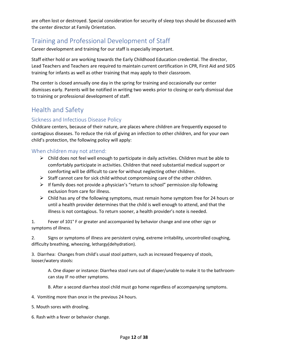are often lost or destroyed. Special consideration for security of sleep toys should be discussed with the center director at Family Orientation.

# <span id="page-11-0"></span>Training and Professional Development of Staff

Career development and training for our staff is especially important.

Staff either hold or are working towards the Early Childhood Education credential. The director, Lead Teachers and Teachers are required to maintain current certification in CPR, First Aid and SIDS training for infants as well as other training that may apply to their classroom.

The center is closed annually one day in the spring for training and occasionally our center dismisses early. Parents will be notified in writing two weeks prior to closing or early dismissal due to training or professional development of staff.

# <span id="page-11-1"></span>Health and Safety

#### <span id="page-11-2"></span>Sickness and Infectious Disease Policy

Childcare centers, because of their nature, are places where children are frequently exposed to contagious diseases. To reduce the risk of giving an infection to other children, and for your own child's protection, the following policy will apply:

#### <span id="page-11-3"></span>When children may not attend:

- $\triangleright$  Child does not feel well enough to participate in daily activities. Children must be able to comfortably participate in activities. Children that need substantial medical support or comforting will be difficult to care for without neglecting other children.
- $\triangleright$  Staff cannot care for sick child without compromising care of the other children.
- $\triangleright$  If family does not provide a physician's "return to school" permission slip following exclusion from care for illness.
- $\triangleright$  Child has any of the following symptoms, must remain home symptom free for 24 hours or until a health provider determines that the child is well enough to attend, and that the illness is not contagious. To return sooner, a health provider's note is needed.

1. Fever of 101° F or greater and accompanied by behavior change and one other sign or symptoms of illness.

2. Signs or symptoms of illness are persistent crying, extreme irritability, uncontrolled coughing, difficulty breathing, wheezing, lethargy(dehydration).

3. Diarrhea: Changes from child's usual stool pattern, such as increased frequency of stools, looser/watery stools:

A. One diaper or instance: Diarrhea stool runs out of diaper/unable to make it to the bathroomcan stay IF no other symptoms.

B. After a second diarrhea stool child must go home regardless of accompanying symptoms.

- 4. Vomiting more than once in the previous 24 hours.
- 5. Mouth sores with drooling.
- 6. Rash with a fever or behavior change.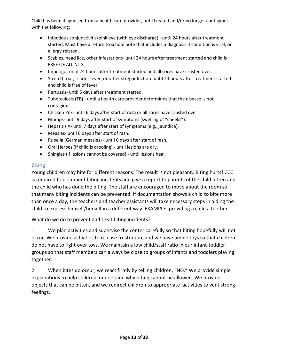Child has been diagnosed from a health care provider, until treated and/or no longer contagious with the following:

- Infectious conjunctivitis/pink eye (with eye discharge) until 24 hours after treatment started. Must have a return to school note that includes a diagnosis if condition is viral, or allergy related.
- Scabies, head lice, other infestations- until 24 hours after treatment started and child is FREE OF ALL NITS.
- Impetigo- until 24 hours after treatment started and all sores have crusted over.
- Strep throat, scarlet fever, or other strep infection- until 24 hours after treatment started and child is free of fever.
- Pertussis- until 5 days after treatment started.
- Tuberculosis (TB) until a health care provider determines that the disease is not contagious.
- Chicken Pox- until 6 days after start of rash or all sores have crusted over.
- Mumps- until 9 days after start of symptoms (swelling of "cheeks").
- Hepatitis A- until 7 days after start of symptoms (e.g., jaundice).
- Measles- until 6 days after start of rash.
- Rubella (German measles) until 6 days after start of rash.
- Oral Herpes (if child is drooling) until lesions are dry.
- Shingles (if lesions cannot be covered) until lesions heal.

#### <span id="page-12-0"></span>Biting

Young children may bite for different reasons. The result is not pleasant…Biting hurts! CCC is required to document biting incidents and give a report to parents of the child bitten and the child who has done the biting. The staff are encouraged to move about the room so that many biting incidents can be prevented. If documentation shows a child to bite more than once a day, the teachers and teacher assistants will take necessary steps in aiding the child to express himself/herself in a different way. EXAMPLE- providing a child a teether.

What do we do to prevent and treat biting incidents?

1. We plan activities and supervise the center carefully so that biting hopefully will not occur. We provide activities to release frustration, and we have ample toys so that children do not have to fight over toys. We maintain a low child/staff ratio in our infant-toddler groups so that staff members can always be close to groups of infants and toddlers playing together.

2. When bites do occur, we react firmly by telling children, "NO." We provide simple explanations to help children understand why biting cannot be allowed. We provide objects that can be bitten, and we redirect children to appropriate activities to vent strong feelings.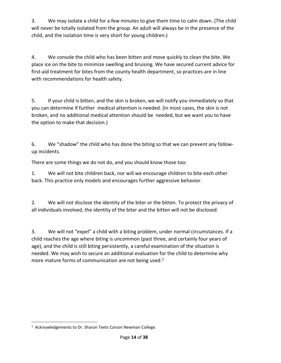3. We may isolate a child for a few minutes to give them time to calm down. (The child will never be totally isolated from the group. An adult will always be in the presence of the child, and the isolation time is very short for young children.)

4. We console the child who has been bitten and move quickly to clean the bite. We place ice on the bite to minimize swelling and bruising. We have secured current advice for first-aid treatment for bites from the county health department, so practices are in line with recommendations for health safety.

5. If your child is bitten, and the skin is broken, we will notify you immediately so that you can determine if further medical attention is needed. (In most cases, the skin is not broken, and no additional medical attention should be needed, but we want you to have the option to make that decision.)

6. We "shadow" the child who has done the biting so that we can prevent any followup incidents.

There are some things we do not do, and you should know those too:

1. We will not bite children back, nor will we encourage children to bite each other back. This practice only models and encourages further aggressive behavior.

2. We will not disclose the identity of the biter or the bitten. To protect the privacy of all individuals involved, the identity of the biter and the bitten will not be disclosed.

3. We will not "expel" a child with a biting problem, under normal circumstances. If a child reaches the age where biting is uncommon (past three, and certainly four years of age), and the child is still biting persistently, a careful examination of the situation is needed. We may wish to secure an additional evaluation for the child to determine why more mature forms of communication are not being used.<sup>[1](#page-13-0)</sup>

<span id="page-13-0"></span><sup>&</sup>lt;sup>1</sup> Acknowledgements to Dr. Sharon Teets Carson Newman College.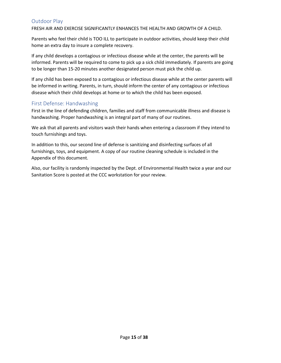#### <span id="page-14-0"></span>Outdoor Play

FRESH AIR AND EXERCISE SIGNIFICANTLY ENHANCES THE HEALTH AND GROWTH OF A CHILD.

Parents who feel their child is TOO ILL to participate in outdoor activities, should keep their child home an extra day to insure a complete recovery.

If any child develops a contagious or infectious disease while at the center, the parents will be informed. Parents will be required to come to pick up a sick child immediately. If parents are going to be longer than 15-20 minutes another designated person must pick the child up.

If any child has been exposed to a contagious or infectious disease while at the center parents will be informed in writing. Parents, in turn, should inform the center of any contagious or infectious disease which their child develops at home or to which the child has been exposed.

#### <span id="page-14-1"></span>First Defense: Handwashing

First in the line of defending children, families and staff from communicable illness and disease is handwashing. Proper handwashing is an integral part of many of our routines.

We ask that all parents and visitors wash their hands when entering a classroom if they intend to touch furnishings and toys.

In addition to this, our second line of defense is sanitizing and disinfecting surfaces of all furnishings, toys, and equipment. A copy of our routine cleaning schedule is included in the Appendix of this document.

Also, our facility is randomly inspected by the Dept. of Environmental Health twice a year and our Sanitation Score is posted at the CCC workstation for your review.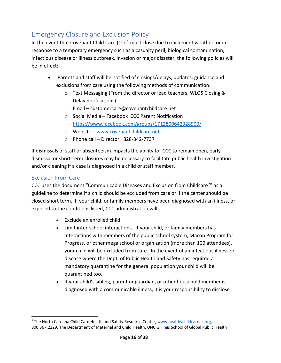# <span id="page-15-0"></span>Emergency Closure and Exclusion Policy

In the event that Covenant Child Care (CCC) must close due to inclement weather, or in response to a temporary emergency such as a casualty peril, biological contamination, infectious disease or illness outbreak, invasion or major disaster, the following policies will be in effect:

- Parents and staff will be notified of closings/delays, updates, guidance and exclusions from care using the following methods of communication:
	- o Text Messaging (From the director or lead teachers, WLOS Closing & Delay notifications)
	- o Email customercare@covenantchildcare.net
	- o Social Media Facebook CCC Parent Notification <https://www.facebook.com/groups/1712800642328900/>
	- o Website [www.covenantchildcare.net](http://www.covenantchildcare.net/)
	- o Phone call Director: 828-342-7737

If dismissals of staff or absenteeism impacts the ability for CCC to remain open, early dismissal or short-term closures may be necessary to facilitate public health investigation and/or cleaning if a case is diagnosed in a child or staff member.

#### <span id="page-15-1"></span>Exclusion From Care

CCC uses the document "Communicable Diseases and Exclusion from Childcare<sup>2</sup>" as a guideline to determine if a child should be excluded from care or if the center should be closed short term. If your child, or family members have been diagnosed with an illness, or exposed to the conditions listed, CCC administration will:

- Exclude an enrolled child
- Limit inter-school interactions. If your child, or family members has interactions with members of the public school system, Macon Program for Progress, or other mega school or organization (more than 100 attendees), your child will be excluded from care. In the event of an infectious illness or disease where the Dept. of Public Health and Safety has required a mandatory quarantine for the general population your child will be quarantined too.
- If your child's sibling, parent or guardian, or other household member is diagnosed with a communicable illness, it is your responsibility to disclose

<span id="page-15-2"></span><sup>&</sup>lt;sup>2</sup> The North Carolina Child Care Health and Safety Resource Center, [www.healthychildcarenc.org,](http://www.healthychildcarenc.org/) 800.367.2229, The Department of Maternal and Child Health, UNC Gillings School of Global Public Health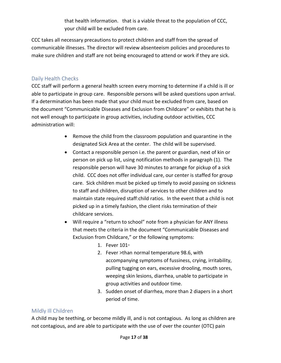that health information. that is a viable threat to the population of CCC, your child will be excluded from care.

CCC takes all necessary precautions to protect children and staff from the spread of communicable illnesses. The director will review absenteeism policies and procedures to make sure children and staff are not being encouraged to attend or work if they are sick.

#### <span id="page-16-0"></span>Daily Health Checks

CCC staff will perform a general health screen every morning to determine if a child is ill or able to participate in group care. Responsible persons will be asked questions upon arrival. If a determination has been made that your child must be excluded from care, based on the document "Communicable Diseases and Exclusion from Childcare" or exhibits that he is not well enough to participate in group activities, including outdoor activities, CCC administration will:

- Remove the child from the classroom population and quarantine in the designated Sick Area at the center. The child will be supervised.
- Contact a responsible person i.e. the parent or guardian, next of kin or person on pick up list, using notification methods in paragraph (1). The responsible person will have 30 minutes to arrange for pickup of a sick child. CCC does not offer individual care, our center is staffed for group care. Sick children must be picked up timely to avoid passing on sickness to staff and children, disruption of services to other children and to maintain state required staff:child ratios. In the event that a child is not picked up in a timely fashion, the client risks termination of their childcare services.
- Will require a "return to school" note from a physician for ANY illness that meets the criteria in the document "Communicable Diseases and Exclusion from Childcare," or the following symptoms:
	- 1. Fever 101◦
	- 2. Fever >than normal temperature 98.6, with accompanying symptoms of fussiness, crying, irritability, pulling tugging on ears, excessive drooling, mouth sores, weeping skin lesions, diarrhea, unable to participate in group activities and outdoor time.
	- 3. Sudden onset of diarrhea, more than 2 diapers in a short period of time.

#### <span id="page-16-1"></span>Mildly Ill Children

A child may be teething, or become mildly ill, and is not contagious. As long as children are not contagious, and are able to participate with the use of over the counter (OTC) pain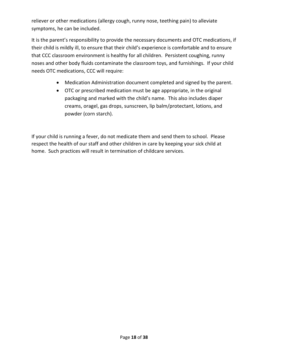reliever or other medications (allergy cough, runny nose, teething pain) to alleviate symptoms, he can be included.

It is the parent's responsibility to provide the necessary documents and OTC medications, if their child is mildly ill, to ensure that their child's experience is comfortable and to ensure that CCC classroom environment is healthy for all children. Persistent coughing, runny noses and other body fluids contaminate the classroom toys, and furnishings. If your child needs OTC medications, CCC will require:

- Medication Administration document completed and signed by the parent.
- OTC or prescribed medication must be age appropriate, in the original packaging and marked with the child's name. This also includes diaper creams, oragel, gas drops, sunscreen, lip balm/protectant, lotions, and powder (corn starch).

If your child is running a fever, do not medicate them and send them to school. Please respect the health of our staff and other children in care by keeping your sick child at home. Such practices will result in termination of childcare services.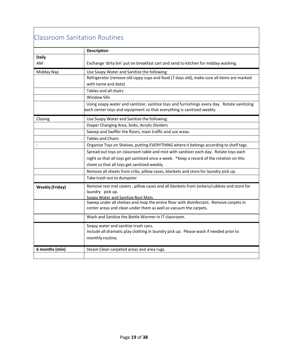<span id="page-18-0"></span>

| <b>Classroom Sanitation Routines</b> |  |
|--------------------------------------|--|
|                                      |  |

|                                                                                     | <b>Description</b>                                                                                                                                        |  |  |
|-------------------------------------------------------------------------------------|-----------------------------------------------------------------------------------------------------------------------------------------------------------|--|--|
| <b>Daily</b>                                                                        |                                                                                                                                                           |  |  |
| AM                                                                                  | Exchange 'dirty bin' put on breakfast cart and send to kitchen for midday washing.                                                                        |  |  |
| Midday Nap                                                                          | Use Soapy Water and Sanitize the following:                                                                                                               |  |  |
|                                                                                     | Refrigerator (remove old sippy cups and food (7 days old), make sure all items are marked                                                                 |  |  |
|                                                                                     | with name and date)                                                                                                                                       |  |  |
|                                                                                     | Tables and all chairs                                                                                                                                     |  |  |
|                                                                                     | <b>Window Sills</b>                                                                                                                                       |  |  |
|                                                                                     | Using soapy water and sanitizer, sanitize toys and furnishings every day. Rotate sanitizing                                                               |  |  |
|                                                                                     | each center toys and equipment so that everything is sanitized weekly.                                                                                    |  |  |
| Closing                                                                             | Use Soapy Water and Sanitize the following:                                                                                                               |  |  |
|                                                                                     | Diaper Changing Area, Sinks, Acrylic Dividers                                                                                                             |  |  |
|                                                                                     | Sweep and Swiffer the floors, main traffic and use areas.                                                                                                 |  |  |
|                                                                                     | <b>Tables and Chairs</b>                                                                                                                                  |  |  |
|                                                                                     | Organize Toys on Shelves, putting EVERYTHING where it belongs according to shelf tags.                                                                    |  |  |
|                                                                                     | Spread out toys on classroom table and mist with sanitizer each day. Rotate toys each                                                                     |  |  |
|                                                                                     | night so that all toys get sanitized once a week. *Keep a record of the rotation on this                                                                  |  |  |
|                                                                                     | sheet so that all toys get sanitized weekly.                                                                                                              |  |  |
| Remove all sheets from cribs, pillow cases, blankets and store for laundry pick up. |                                                                                                                                                           |  |  |
|                                                                                     | Take trash out to dumpster                                                                                                                                |  |  |
| <b>Weekly (Friday)</b>                                                              | Remove rest mat covers, pillow cases and all blankets from lockers/cubbies and store for                                                                  |  |  |
|                                                                                     | laundry pick up.                                                                                                                                          |  |  |
|                                                                                     | Soapy Water and Sanitize Rest Mats.                                                                                                                       |  |  |
|                                                                                     | Sweep under all shelves and mop the entire floor with disinfectant. Remove carpets in<br>center areas and clean under them as well as vacuum the carpets. |  |  |
|                                                                                     |                                                                                                                                                           |  |  |
|                                                                                     | Wash and Sanitize the Bottle Warmer in IT classroom.                                                                                                      |  |  |
|                                                                                     | Soapy water and sanitize trash cans.                                                                                                                      |  |  |
|                                                                                     | Include all dramatic play clothing in laundry pick up. Please wash if needed prior to                                                                     |  |  |
|                                                                                     | monthly routine.                                                                                                                                          |  |  |
| 6 months (min)                                                                      | Steam Clean carpeted areas and area rugs.                                                                                                                 |  |  |
|                                                                                     |                                                                                                                                                           |  |  |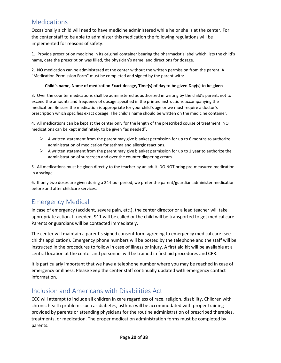# <span id="page-19-0"></span>**Medications**

Occasionally a child will need to have medicine administered while he or she is at the center. For the center staff to be able to administer this medication the following regulations will be implemented for reasons of safety:

1. Provide prescription medicine in its original container bearing the pharmacist's label which lists the child's name, date the prescription was filled, the physician's name, and directions for dosage.

2. NO medication can be administered at the center without the written permission from the parent. A "Medication Permission Form" must be completed and signed by the parent with:

#### **Child's name, Name of medication Exact dosage, Time(s) of day to be given Day(s) to be given**

3. Over the counter medications shall be administered as authorized in writing by the child's parent, not to exceed the amounts and frequency of dosage specified in the printed instructions accompanying the medication. Be sure the medication is appropriate for your child's age or we must require a doctor's prescription which specifies exact dosage. The child's name should be written on the medicine container.

4. All medications can be kept at the center only for the length of the prescribed course of treatment. NO medications can be kept indefinitely, to be given "as needed".

- $\triangleright$  A written statement from the parent may give blanket permission for up to 6 months to authorize administration of medication for asthma and allergic reactions.
- $\triangleright$  A written statement from the parent may give blanket permission for up to 1 year to authorize the administration of sunscreen and over the counter diapering cream.

5. All medications must be given directly to the teacher by an adult. DO NOT bring pre-measured medication in a syringe.

6. If only two doses are given during a 24-hour period, we prefer the parent/guardian administer medication before and after childcare services.

# <span id="page-19-1"></span>Emergency Medical

In case of emergency (accident, severe pain, etc.), the center director or a lead teacher will take appropriate action. If needed, 911 will be called or the child will be transported to get medical care. Parents or guardians will be contacted immediately.

The center will maintain a parent's signed consent form agreeing to emergency medical care (see child's application). Emergency phone numbers will be posted by the telephone and the staff will be instructed in the procedures to follow in case of illness or injury. A first aid kit will be available at a central location at the center and personnel will be trained in first aid procedures and CPR.

It is particularly important that we have a telephone number where you may be reached in case of emergency or illness. Please keep the center staff continually updated with emergency contact information.

# <span id="page-19-2"></span>Inclusion and Americans with Disabilities Act

CCC will attempt to include all children in care regardless of race, religion, disability. Children with chronic health problems such as diabetes, asthma will be accommodated with proper training provided by parents or attending physicians for the routine administration of prescribed therapies, treatments, or medication. The proper medication administration forms must be completed by parents.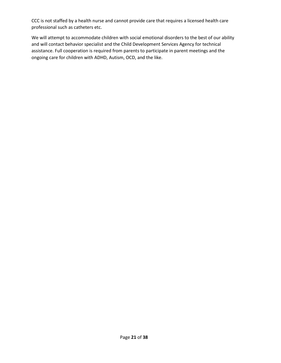CCC is not staffed by a health nurse and cannot provide care that requires a licensed health care professional such as catheters etc.

We will attempt to accommodate children with social emotional disorders to the best of our ability and will contact behavior specialist and the Child Development Services Agency for technical assistance. Full cooperation is required from parents to participate in parent meetings and the ongoing care for children with ADHD, Autism, OCD, and the like.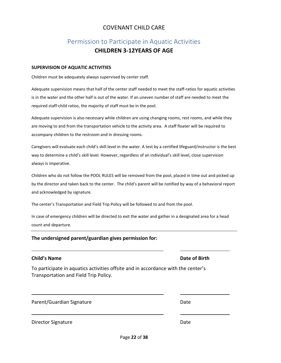# Permission to Participate in Aquatic Activities **CHILDREN 3-12YEARS OF AGE**

#### <span id="page-21-0"></span>**SUPERVISION OF AQUATIC ACTIVITIES**

Children must be adequately always supervised by center staff.

Adequate supervision means that half of the center staff needed to meet the staff-ratios for aquatic activities is in the water and the other half is out of the water. If an uneven number of staff are needed to meet the required staff-child ratios, the majority of staff must be in the pool.

Adequate supervision is also necessary while children are using changing rooms, rest rooms, and while they are moving to and from the transportation vehicle to the activity area. A staff floater will be required to accompany children to the restroom and in dressing rooms.

Caregivers will evaluate each child's skill level in the water. A test by a certified lifeguard/instructor is the best way to determine a child's skill level. However, regardless of an individual's skill level, close supervision always is imperative.

Children who do not follow the POOL RULES will be removed from the pool, placed in time out and picked up by the director and taken back to the center. The child's parent will be notified by way of a behavioral report and acknowledged by signature.

The center's Transportation and Field Trip Policy will be followed to and from the pool.

In case of emergency children will be directed to exit the water and gather in a designated area for a head count and departure.

#### **The undersigned parent/guardian gives permission for:**

To participate in aquatics activities offsite and in accordance with the center's Transportation and Field Trip Policy.

Parent/Guardian Signature Date

Director Signature Date Date Date Date

**Child's Name Date of Birth**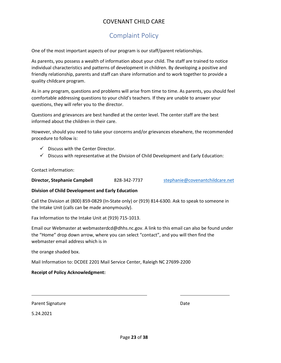# Complaint Policy

<span id="page-22-0"></span>One of the most important aspects of our program is our staff/parent relationships.

As parents, you possess a wealth of information about your child. The staff are trained to notice individual characteristics and patterns of development in children. By developing a positive and friendly relationship, parents and staff can share information and to work together to provide a quality childcare program.

As in any program, questions and problems will arise from time to time. As parents, you should feel comfortable addressing questions to your child's teachers. If they are unable to answer your questions, they will refer you to the director.

Questions and grievances are best handled at the center level. The center staff are the best informed about the children in their care.

However, should you need to take your concerns and/or grievances elsewhere, the recommended procedure to follow is:

- $\checkmark$  Discuss with the Center Director.
- $\checkmark$  Discuss with representative at the Division of Child Development and Early Education:

Contact information:

**Director, Stephanie Campbell** 828-342-7737 [stephanie@covenantchildcare.net](mailto:stephanie@covenantchildcare.net)

#### **Division of Child Development and Early Education**

Call the Division at (800) 859-0829 (In-State only) or (919) 814-6300. Ask to speak to someone in the Intake Unit (calls can be made anonymously).

Fax Information to the Intake Unit at (919) 715-1013.

Email our Webmaster at webmasterdcd@dhhs.nc.gov. A link to this email can also be found under the "Home" drop down arrow, where you can select "contact", and you will then find the webmaster email address which is in

the orange shaded box.

Mail Information to: DCDEE 2201 Mail Service Center, Raleigh NC 27699-2200

**Receipt of Policy Acknowledgment:**

Parent Signature Date Date of the Date of the Date Date Date of the Date Date of the Date of the Date of the Date of the Date of the Date of the Date of the Date of the Date of the Date of the Date of the Date of the Date

5.24.2021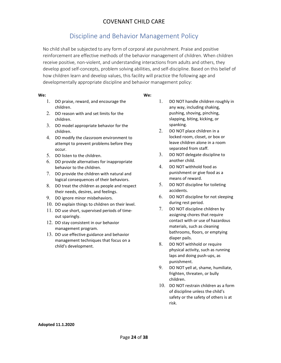# Discipline and Behavior Management Policy

<span id="page-23-0"></span>No child shall be subjected to any form of corporal ate punishment. Praise and positive reinforcement are effective methods of the behavior management of children. When children receive positive, non-violent, and understanding interactions from adults and others, they develop good self-concepts, problem solving abilities, and self-discipline. Based on this belief of how children learn and develop values, this facility will practice the following age and developmentally appropriate discipline and behavior management policy:

#### **We:**

- **We:**
- 1. DO praise, reward, and encourage the children.
- 2. DO reason with and set limits for the children.
- 3. DO model appropriate behavior for the children.
- 4. DO modify the classroom environment to attempt to prevent problems before they occur.
- 5. DO listen to the children.
- 6. DO provide alternatives for inappropriate behavior to the children.
- 7. DO provide the children with natural and logical consequences of their behaviors.
- 8. DO treat the children as people and respect their needs, desires, and feelings.
- 9. DO ignore minor misbehaviors.
- 10. DO explain things to children on their level.
- 11. DO use short, supervised periods of timeout sparingly.
- 12. DO stay consistent in our behavior management program.
- 13. DO use effective guidance and behavior management techniques that focus on a child's development.
- 1. DO NOT handle children roughly in any way, including shaking, pushing, shoving, pinching, slapping, biting, kicking, or spanking.
- 2. DO NOT place children in a locked room, closet, or box or leave children alone in a room separated from staff.
- 3. DO NOT delegate discipline to another child.
- 4. DO NOT withhold food as punishment or give food as a means of reward.
- 5. DO NOT discipline for toileting accidents.
- 6. DO NOT discipline for not sleeping during rest period.
- 7. DO NOT discipline children by assigning chores that require contact with or use of hazardous materials, such as cleaning bathrooms, floors, or emptying diaper pails.
- 8. DO NOT withhold or require physical activity, such as running laps and doing push-ups, as punishment.
- 9. DO NOT yell at, shame, humiliate, frighten, threaten, or bully children.
- 10. DO NOT restrain children as a form of discipline unless the child's safety or the safety of others is at risk.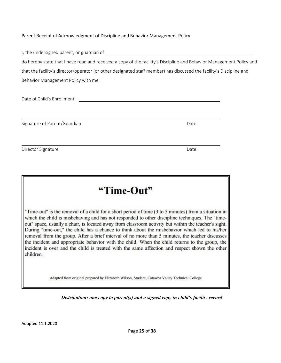#### Parent Receipt of Acknowledgment of Discipline and Behavior Management Policy

I, the undersigned parent, or guardian of do hereby state that I have read and received a copy of the facility's Discipline and Behavior Management Policy and that the facility's director/operator (or other designated staff member) has discussed the facility's Discipline and Behavior Management Policy with me.

Date of Child's Enrollment:

Signature of Parent/Guardian Date by Contracting Contraction of Parents Date Date

Director Signature Date Date of Contractor Contractor Contractor Date Date Date

# "Time-Out"

"Time-out" is the removal of a child for a short period of time (3 to 5 minutes) from a situation in which the child is misbehaving and has not responded to other discipline techniques. The "timeout" space, usually a chair, is located away from classroom activity but within the teacher's sight. During "time-out," the child has a chance to think about the misbehavior which led to his/her removal from the group. After a brief interval of no more than 5 minutes, the teacher discusses the incident and appropriate behavior with the child. When the child returns to the group, the incident is over and the child is treated with the same affection and respect shown the other children

Adapted from original prepared by Elizabeth Wilson, Student, Catawba Valley Technical College

*Distribution: one copy to parent(s) and a signed copy in child's facility record*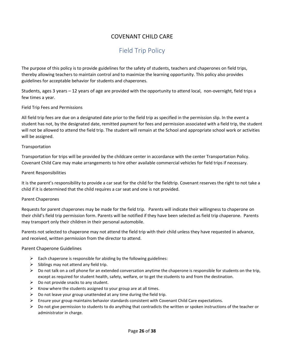# Field Trip Policy

<span id="page-25-0"></span>The purpose of this policy is to provide guidelines for the safety of students, teachers and chaperones on field trips, thereby allowing teachers to maintain control and to maximize the learning opportunity. This policy also provides guidelines for acceptable behavior for students and chaperones.

Students, ages 3 years – 12 years of age are provided with the opportunity to attend local, non-overnight, field trips a few times a year.

#### Field Trip Fees and Permissions

All field trip fees are due on a designated date prior to the field trip as specified in the permission slip. In the event a student has not, by the designated date, remitted payment for fees and permission associated with a field trip, the student will not be allowed to attend the field trip. The student will remain at the School and appropriate school work or activities will be assigned.

#### Transportation

Transportation for trips will be provided by the childcare center in accordance with the center Transportation Policy. Covenant Child Care may make arrangements to hire other available commercial vehicles for field trips if necessary.

#### Parent Responsibilities

It is the parent's responsibility to provide a car seat for the child for the fieldtrip. Covenant reserves the right to not take a child if it is determined that the child requires a car seat and one is not provided.

#### Parent Chaperones

Requests for parent chaperones may be made for the field trip. Parents will indicate their willingness to chaperone on their child's field trip permission form. Parents will be notified if they have been selected as field trip chaperone. Parents may transport only their children in their personal automobile.

Parents not selected to chaperone may not attend the field trip with their child unless they have requested in advance, and received, written permission from the director to attend.

#### Parent Chaperone Guidelines

- $\triangleright$  Each chaperone is responsible for abiding by the following guidelines:
- $\triangleright$  Siblings may not attend any field trip.
- $\triangleright$  Do not talk on a cell phone for an extended conversation anytime the chaperone is responsible for students on the trip, except as required for student health, safety, welfare, or to get the students to and from the destination.
- $\triangleright$  Do not provide snacks to any student.
- $\triangleright$  Know where the students assigned to your group are at all times.
- $\triangleright$  Do not leave your group unattended at any time during the field trip.
- $\triangleright$  Ensure your group maintains behavior standards consistent with Covenant Child Care expectations.
- $\triangleright$  Do not give permission to students to do anything that contradicts the written or spoken instructions of the teacher or administrator in charge.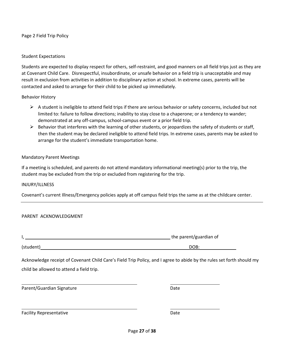#### Page 2 Field Trip Policy

#### Student Expectations

Students are expected to display respect for others, self-restraint, and good manners on all field trips just as they are at Covenant Child Care. Disrespectful, insubordinate, or unsafe behavior on a field trip is unacceptable and may result in exclusion from activities in addition to disciplinary action at school. In extreme cases, parents will be contacted and asked to arrange for their child to be picked up immediately.

#### Behavior History

- $\triangleright$  A student is ineligible to attend field trips if there are serious behavior or safety concerns, included but not limited to: failure to follow directions; inability to stay close to a chaperone; or a tendency to wander; demonstrated at any off-campus, school-campus event or a prior field trip.
- $\triangleright$  Behavior that interferes with the learning of other students, or jeopardizes the safety of students or staff, then the student may be declared ineligible to attend field trips. In extreme cases, parents may be asked to arrange for the student's immediate transportation home.

#### Mandatory Parent Meetings

If a meeting is scheduled, and parents do not attend mandatory informational meeting(s) prior to the trip, the student may be excluded from the trip or excluded from registering for the trip.

#### INJURY/ILLNESS

Covenant's current Illness/Emergency policies apply at off campus field trips the same as at the childcare center.

#### PARENT ACKNOWLEDGMENT

| . . | the parent/guardian of |
|-----|------------------------|
|     |                        |

(student) DOB:

Acknowledge receipt of Covenant Child Care's Field Trip Policy, and I agree to abide by the rules set forth should my child be allowed to attend a field trip.

Parent/Guardian Signature Date Date

Facility Representative **Date** Date **Date**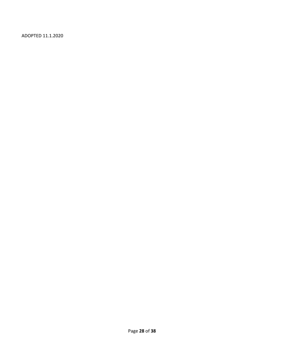ADOPTED 11.1.2020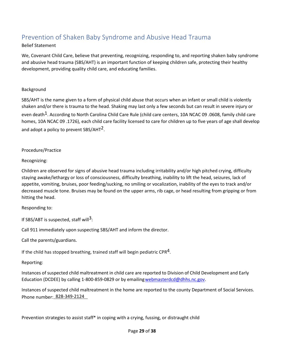# <span id="page-28-0"></span>Prevention of Shaken Baby Syndrome and Abusive Head Trauma

#### Belief Statement

We, Covenant Child Care, believe that preventing, recognizing, responding to, and reporting shaken baby syndrome and abusive head trauma (SBS/AHT) is an important function of keeping children safe, protecting their healthy development, providing quality child care, and educating families.

#### Background

SBS/AHT is the name given to a form of physical child abuse that occurs when an infant or small child is violently shaken and/or there is trauma to the head. Shaking may last only a few seconds but can result in severe injury or even death<sup>1</sup>. According to North Carolina Child Care Rule (child care centers, 10A NCAC 09 .0608, family child care homes, 10A NCAC 09 .1726), each child care facility licensed to care for children up to five years of age shall develop and adopt a policy to prevent SBS/AHT<sup>2</sup>.

#### Procedure/Practice

Recognizing:

Children are observed for signs of abusive head trauma including irritability and/or high pitched crying, difficulty staying awake/lethargy or loss of consciousness, difficulty breathing, inability to lift the head, seizures, lack of appetite, vomiting, bruises, poor feeding/sucking, no smiling or vocalization, inability of the eyes to track and/or decreased muscle tone. Bruises may be found on the upper arms, rib cage, or head resulting from gripping or from hitting the head.

Responding to:

If SBS/ABT is suspected, staff will $3$ :

Call 911 immediately upon suspecting SBS/AHT and inform the director.

Call the parents/guardians.

If the child has stopped breathing, trained staff will begin pediatric CPR<sup>4</sup>.

Reporting:

Instances of suspected child maltreatment in child care are reported to Division of Child Development and Early Education (DCDEE) by calling 1-800-859-0829 or by emailing webmasterdcd@dhhs.nc.gov.

Instances of suspected child maltreatment in the home are reported to the county Department of Social Services. Phone number: 828-349-2124

Prevention strategies to assist staff\* in coping with a crying, fussing, or distraught child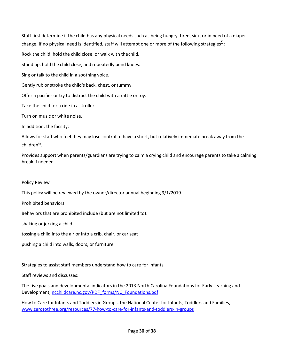Staff first determine if the child has any physical needs such as being hungry, tired, sick, or in need of a diaper change. If no physical need is identified, staff will attempt one or more of the following strategies<sup>5</sup>:

Rock the child, hold the child close, or walk with thechild.

Stand up, hold the child close, and repeatedly bend knees.

Sing or talk to the child in a soothing voice.

Gently rub or stroke the child's back, chest, or tummy.

Offer a pacifier or try to distract the child with a rattle ortoy.

Take the child for a ride in a stroller.

Turn on music or white noise.

In addition, the facility:

Allows for staff who feel they may lose control to have a short, but relatively immediate break away from the children6.

Provides support when parents/guardians are trying to calm a crying child and encourage parents to take a calming break if needed.

#### Policy Review

This policy will be reviewed by the owner/director annual beginning 9/1/2019.

Prohibited behaviors

Behaviors that are prohibited include (but are not limited to):

shaking or jerking a child

tossing a child into the air or into a crib, chair, or car seat

pushing a child into walls, doors, or furniture

Strategies to assist staff members understand how to care for infants

Staff reviews and discusses:

The five goals and developmental indicators in the 2013 North Carolina Foundations for Early Learning and Development, ncchildcare.nc.gov/PDF\_forms/NC\_Foundations.pdf

How to Care for Infants and Toddlers in Groups, the National Center for Infants, Toddlers and Families, [www.zerotothree.org/resources/77-](http://www.zerotothree.org/resources/77)how-to-care-for-infants-and-toddlers-in-groups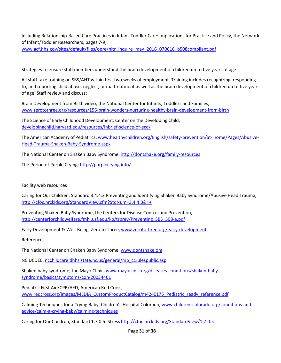Including Relationship-Based Care Practices in Infant-Toddler Care: Implications for Practice and Policy, the Network of Infant/Toddler Researchers, pages 7-9,

[www.acf.hhs.gov/sites/default/files/opre/nitr\\_inquire\\_may\\_2016\\_070616\\_b508compliant.pdf](http://www.acf.hhs.gov/sites/default/files/opre/nitr_inquire_may_2016_070616_b508compliant.pdf)

Strategies to ensure staff members understand the brain development of children up to five years of age

All staff take training on SBS/AHT within first two weeks of employment. Training includes recognizing, responding to, and reporting child abuse, neglect, or maltreatment as well as the brain development of children up to five years of age. Staff review and discuss:

Brain Development from Birth video, the National Center for Infants, Toddlers and Families, [www.zerotothree.org/resources/156-](http://www.zerotothree.org/resources/156)brain-wonders-nurturing-healthy-brain-development-from-birth

The Science of Early Childhood Development, Center on the Developing Child, developingchild.harvard.edu/resources/inbrief-science-of-ecd/

The American Academy of Pediatrics: [www.healthychildren.org/English/safety-](http://www.healthychildren.org/English/safety)prevention/at- home/Pages/Abusive-Head-Trauma-Shaken-Baby-Syndrome.aspx

The National Center on Shaken Baby Syndrome: [http://dontshake.org/family-](http://dontshake.org/family)resources

The Period of Purple Crying: <http://purplecrying.info/>

Facility web resources

Caring for Our Children, Standard 3.4.4.3 Preventing and Identifying Shaken Baby Syndrome/Abusive Head Trauma, [http://cfoc.nrckids.org/StandardView.cfm?StdNum=3.4.4.3&=+](http://cfoc.nrckids.org/StandardView.cfm?StdNum=3.4.4.3&=%2B)

Preventing Shaken Baby Syndrome, the Centers for Disease Control and Prevention, [http://centerforchildwelfare.fmhi.usf.edu/kb/trprev/Preventing\\_SBS\\_508-](http://centerforchildwelfare.fmhi.usf.edu/kb/trprev/Preventing_SBS_508)a.pdf

Early Development & Well-Being, Zero to Three, [www.zerotothree.org/early-](http://www.zerotothree.org/early)development

References

The National Center on Shaken Baby Syndrome, [www.dontshake.org](http://www.dontshake.org/)

NC DCDEE, ncchildcare.dhhs.state.nc.us/general/mb\_ccrulespublic.asp

Shaken baby syndrome, the Mayo Clinic, [www.mayoclinic.org/diseases-](http://www.mayoclinic.org/diseases)conditions/shaken-babysyndrome/basics/symptoms/con-20034461

Pediatric First Aid/CPR/AED, American Red Cross, [www.redcross.org/images/MEDIA\\_CustomProductCatalog/m4240175\\_Pediatric\\_ready\\_reference.pdf](http://www.redcross.org/images/MEDIA_CustomProductCatalog/m4240175_Pediatric_ready_reference.pdf)

Calming Techniques for a Crying Baby, Children's Hospital Colorado, [www.childrenscolorado.org/conditions-](http://www.childrenscolorado.org/conditions)andadvice/calm-a-crying-baby/calming-techniques

Caring for Our Children, Standard 1.7.0.5: Stress <http://cfoc.nrckids.org/StandardView/1.7.0.5>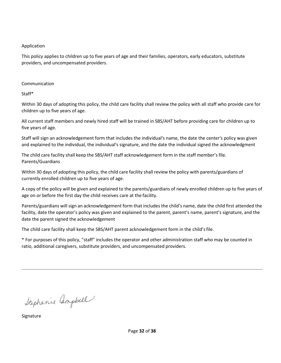#### Application

This policy applies to children up to five years of age and their families, operators, early educators, substitute providers, and uncompensated providers.

#### Communication

#### Staff\*

Within 30 days of adopting this policy, the child care facility shall review the policy with all staff who provide care for children up to five years of age.

All current staff members and newly hired staff will be trained in SBS/AHT before providing care for children up to five years of age.

Staff will sign an acknowledgement form that includes the individual's name, the date the center's policy was given and explained to the individual, the individual's signature, and the date the individual signed the acknowledgment

The child care facility shall keep the SBS/AHT staff acknowledgement form in the staff member's file. Parents/Guardians

Within 30 days of adopting this policy, the child care facility shall review the policy with parents/guardians of currently enrolled children up to five years of age.

A copy of the policy will be given and explained to the parents/guardians of newly enrolled children up to five years of age on or before the first day the child receives care at the facility.

Parents/guardians will sign an acknowledgement form that includes the child's name, date the child first attended the facility, date the operator's policy was given and explained to the parent, parent's name, parent's signature, and the date the parent signed the acknowledgement

The child care facility shall keep the SBS/AHT parent acknowledgement form in the child'sfile.

\* For purposes of this policy, "staff" includes the operator and other administration staff who may be counted in ratio, additional caregivers, substitute providers, and uncompensated providers.

Stephanie Campbell

**Signature**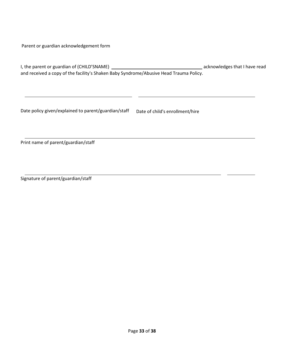Parent or guardian acknowledgement form

| I, the parent or guardian of (CHILD'SNAME)                                             | acknowledges that I have read |
|----------------------------------------------------------------------------------------|-------------------------------|
| and received a copy of the facility's Shaken Baby Syndrome/Abusive Head Trauma Policy. |                               |

Date policy given/explained to parent/guardian/staff Date of child's enrollment/hire

Print name of parent/guardian/staff

Signature of parent/guardian/staff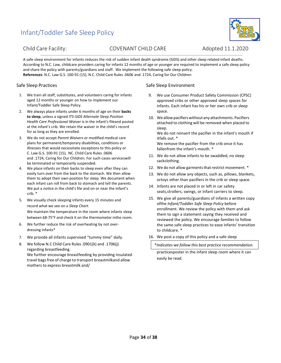# <span id="page-33-0"></span>Infant/Toddler Safe Sleep Policy



#### Child Care Facility: COVENANT CHILD CARE Adopted 11.1.2020

A safe sleep environment for infants reduces the risk of sudden infant death syndrome (SIDS) and other sleep related infant deaths. According to N.C. Law, childcare providers caring for infants 12 months of age or younger are required to implement a safe sleep policy and share the policy with parents/guardians and staff. We implement the following safe sleep policy. **References**: N.C. Law G.S. 100-91 (15), N.C. Child Care Rules .0606 and .1724, Caring for Our Children

#### Safe Sleep Practices

- 1. We train all staff, substitutes, and volunteers caring for infants aged 12 months or younger on how to implement our Infant/Toddler Safe Sleep Policy.
- 2. We always place infants under 6 months of age on their **backs to sleep**, unless a signed *ITS-SIDS Alternate Sleep Position Health Care Professional Waiver* is in the infant's fileand posted at the infant's crib. We retain the waiver in the child's record for as long as they are enrolled.
- 3. We do not accept *Parent Waivers* or modified medical care plans for permanent/temporary disabilities, conditions or illnesses that would necessitate exceptions to this policy or C. Law G.S. 100-91 (15), NC. Child Care Rules .0606 and .1724, Caring for Our Children. For such cases serviceswill be terminated or temporarily suspended.
- 4. We place infants on their backs to sleep even after they can easily turn over from the back to the stomach. We then allow them to adopt their own position for sleep. We document when each infant can roll from back to stomach and tell the parents. We put a notice in the child's file and on or near the infant's crib. \*
- 5. We visually check sleeping infants every 15 minutes and record what we see on a *Sleep Chart*. We maintain the temperature in the room where infants sleep between 68-75°F and check it on the thermometer inthe room.
- 6. We further reduce the risk of overheating by not overdressing infants\*
- 7. We provide all infants supervised "tummy time" daily.
- 8. We follow N.C Child Care Rules .0901(k) and .1706(j) regarding breastfeeding. We further encourage breastfeeding by providing insulated travel bagsfree of charge to transport breastmilkand allow mothers to express breastmilk and/

#### Safe Sleep Environment

- 9. We use Consumer Product Safety Commission (CPSC) approved cribs or other approved sleep spaces for infants. Each infant has his or her own crib or sleep space.
- 10. We allow pacifiers without any attachments. Pacifiers attached to clothing will be removed when placed to sleep.

We do not reinsert the pacifier in the infant's mouth if itfalls out. \*

We remove the pacifier from the crib once it has fallenfrom the infant's mouth. \*

- 11. We do not allow infants to be swaddled, no sleep sackclothing.
- 12. We do not allow garments that restrict movement. \*
- 13. We do not allow any objects, such as, pillows, blankets, ortoys other than pacifiers in the crib or sleep space.
- 14. Infants are not placed in or left in car safety seats,strollers, swings, or infant carriers to sleep.
- 15. We give all parents/guardians of infants a written copy ofthe *Infant/Toddler Safe Sleep Policy* before enrollment. We review the policy with them and ask them to sign a statement saying they received and reviewed the policy. We encourage families to follow the same safe sleep practices to ease infants' transition to childcare. \*
- 16. We post a copy of this policy and a safe sleep

\**Indicates we follow this best practice recommendation*.

practicesposter in the infant sleep room where it can easily be read.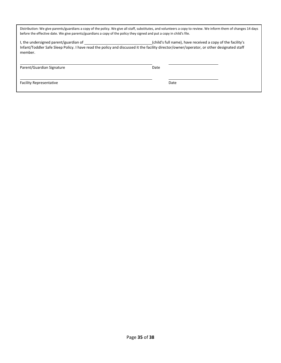| Distribution: We give parents/guardians a copy of the policy. We give all staff, substitutes, and volunteers a copy to review. We inform them of changes 14 days<br>before the effective date. We give parents/guardians a copy of the policy they signed and put a copy in child's file. |      |      |  |
|-------------------------------------------------------------------------------------------------------------------------------------------------------------------------------------------------------------------------------------------------------------------------------------------|------|------|--|
| I, the undersigned parent/guardian of<br>(child's full name), have received a copy of the facility's<br>Infant/Toddler Safe Sleep Policy. I have read the policy and discussed it the facility director/owner/operator, or other designated staff<br>member.                              |      |      |  |
| Parent/Guardian Signature                                                                                                                                                                                                                                                                 | Date |      |  |
| <b>Facility Representative</b>                                                                                                                                                                                                                                                            |      | Date |  |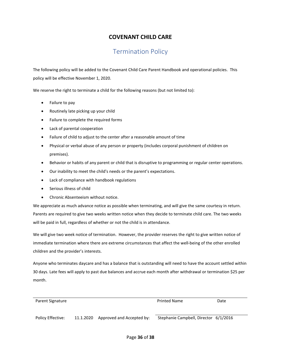# Termination Policy

<span id="page-35-0"></span>The following policy will be added to the Covenant Child Care Parent Handbook and operational policies. This policy will be effective November 1, 2020.

We reserve the right to terminate a child for the following reasons (but not limited to):

- Failure to pay
- Routinely late picking up your child
- Failure to complete the required forms
- Lack of parental cooperation
- Failure of child to adjust to the center after a reasonable amount of time
- Physical or verbal abuse of any person or property (includes corporal punishment of children on premises).
- Behavior or habits of any parent or child that is disruptive to programming or regular center operations.
- Our inability to meet the child's needs or the parent's expectations.
- Lack of compliance with handbook regulations
- Serious illness of child
- Chronic Absenteeism without notice.

We appreciate as much advance notice as possible when terminating, and will give the same courtesy in return. Parents are required to give two weeks written notice when they decide to terminate child care. The two weeks will be paid in full, regardless of whether or not the child is in attendance.

We will give two week notice of termination. However, the provider reserves the right to give written notice of immediate termination where there are extreme circumstances that affect the well-being of the other enrolled children and the provider's interests.

Anyone who terminates daycare and has a balance that is outstanding will need to have the account settled within 30 days. Late fees will apply to past due balances and accrue each month after withdrawal or termination \$25 per month.

| Parent Signature | <b>Printed Name</b> | Date |
|------------------|---------------------|------|
|                  |                     |      |
|                  |                     |      |

Policy Effective: 11.1.2020 Approved and Accepted by: Stephanie Campbell, Director 6/1/2016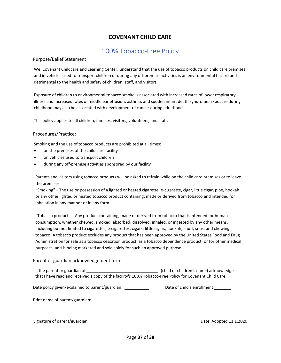# 100% Tobacco-Free Policy

#### <span id="page-36-0"></span>Purpose/Belief Statement

We, Covenant Childcare and Learning Center, understand that the use of tobacco products on child care premises and in vehicles used to transport children or during any off-premise activities is an environmental hazard and detrimental to the health and safety of children, staff, and visitors.

Exposure of children to environmental tobacco smoke is associated with increased rates of lower respiratory illness and increased rates of middle ear effusion, asthma, and sudden infant death syndrome. Exposure during childhood may also be associated with development of cancer during adulthood.

This policy applies to all children, families, visitors, volunteers, and staff.

#### Procedures/Practice:

Smoking and the use of tobacco products are prohibited at all times:

- on the premises of the child care facility
- on vehicles used to transport children
- during any off-premise activities sponsored by our facility

Parents and visitors using tobacco products will be asked to refrain while on the child care premises or to leave the premises.

"Smoking" – The use or possession of a lighted or heated cigarette, e-cigarette, cigar, little cigar, pipe, hookah or any other lighted or heated tobacco product containing, made or derived from tobacco and intended for inhalation in any manner or in any form.

"Tobacco product" – Any product containing, made or derived from tobacco that is intended for human consumption, whether chewed, smoked, absorbed, dissolved, inhaled, or ingested by any other means, including but not limited to cigarettes, e-cigarettes, cigars; little cigars, hookah, snuff, snus, and chewing tobacco. A tobacco product excludes any product that has been approved by the United States Food and Drug Administration for sale as a tobacco cessation product, as a tobacco dependence product, or for other medical purposes, and is being marketed and sold solely for such an approved purpose.

#### Parent or guardian acknowledgement form

| that I have read and received a copy of the facility's 100% Tobacco-Free Policy for Covenant Child Care.       | (child or children's name) acknowledge |
|----------------------------------------------------------------------------------------------------------------|----------------------------------------|
| Date policy given/explained to parent/guardian: ____________                                                   | Date of child's enrollment:            |
| Print name of parent/guardian: example and the same of part of the set of the set of the set of the set of the |                                        |
|                                                                                                                |                                        |

Signature of parent/guardian decrees and the control of the Date Adopted 11.1.2020